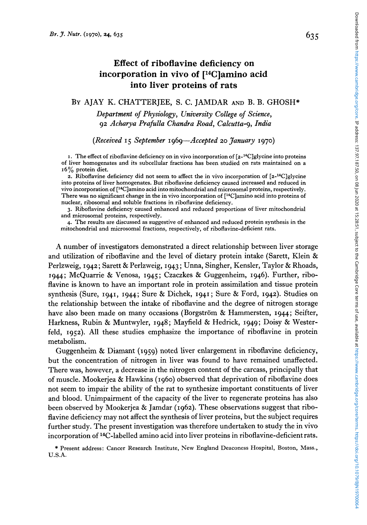# **Effect of riboflavine deficiency on incorporation in vivo of [14C]amino acid into liver proteins of rats**

## BY AJAY K. CHATTERJEE, S. C. JAMDAR **AND** B. B. GHOSH"

*Department of Physiology, University College of Science, 92 Acharya Prafulla Chandra Road, Calcutta-9, India* 

### *(Received I 5 September 1969-Accepted 20 January 1970)*

**I.** The effect of riboflavine deficiency on in vivo incorporation of [2-'4C]glycine into proteins of liver homogenates and its subcellular fractions has been studied on rats maintained on a **<sup>I</sup>***6* % protein diet.

**2.** Riboflavine deficiency did not seem to affect the in vivo incorporation **of** [z-l4C]g1ycine into proteins of liver homogenates. But riboflavine deficiency caused increased and reduced in vivo incorporation **of** [14C]amino acid into mitochondrial and microsomal proteins, respectively. There was no significant change in the in vivo incorporation **of** [14C]amino acid into proteins of nuclear, ribosomal and soluble fractions in riboflavine deficiency.

**3.** Riboflavine deficiency caused enhanced and reduced proportions of liver mitochondrial and microsomal proteins, respectively.

4. The results are discussed as suggestive of enhanced and reduced protein synthesis in the mitochondrial and microsomal fractions, respectively, of riboflavine-deficient rats.

A number of investigators demonstrated a direct relationship between liver storage and utilization of riboflavine and the level of dietary protein intake (Sarett, Klein  $\&$ Perlzweig, *1942;* Sarett & Perlzweig, *1943* ; Unna, Singher, Kensler, Taylor & Rhoads, *1944;* McQuarrie & Venosa, *1945;* Czaczkes & Guggenheim, *1946).* Further, riboflavine is known to have an important role in protein assimilation and tissue protein synthesis (Sure, *1941, 1944;* Sure & Dichek, *1941* ; Sure & Ford, *1942).* Studies on the relationship between the intake of riboflavine and the degree of nitrogen storage have also been made on many occasions (Borgström & Hammersten, 1944; Seifter, Harkness, Rubin & Muntwyler, *1948;* Mayfield & Hedrick, *1949;* Doisy & Westerfeld, *1952).* All these studies emphasize the importance of riboflavine in protein metabolism.

Guggenheim & Diamant *(1959)* noted liver enlargement in riboflavine deficiency, but the concentration of nitrogen in liver was found to have remained unaffected. There was, however, a decrease in the nitrogen content of the carcass, principally that of muscle. Mookerjea & Hawkins *(1960)* observed that deprivation of riboflavine does not seem to impair the ability of the rat to synthesize important constituents of liver and blood. Unimpairment of the capacity **of** the liver to regenerate proteins has also been observed by Mookerjea & Jamdar *(1962).* These observations suggest that riboflavine deficiency may not affect the synthesis of liver proteins, but the subject requires further study. The present investigation was therefore undertaken to study the in vivo incorporation of 14C-labelled amino acid into liver proteins in riboflavine-deficient rats.

**U.S.A.**  \* Present address: Cancer Research Institute, New England Deaconess Hospital, Boston, Mass.,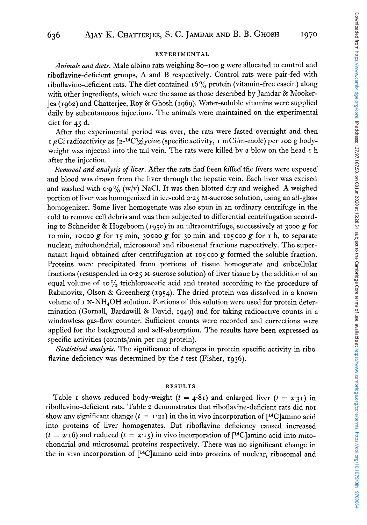#### EXPERIMENTAL

*Animals and diets.* Male albino rats weighing **80-100** g were allocated to control and riboflavine-deficient groups, **A** and B respectively. Control rats were pair-fed with riboflavine-deficient rats. The diet contained 16% protein (vitamin-free casein) along with other ingredients, which were the same as those described by Jamdar & Mookerjea **(1962)** and Chatterjee, Roy & Ghosh **(1969).** Water-soluble vitamins were supplied daily by subcutaneous injections. The animals were maintained on the experimental diet for **45** d.

After the experimental period was over, the rats were fasted overnight and then **I** FCi radioactivity as [2-14C]glycine (specific activity, **I** mCi/m-mole) per **IOO** *g* bodyweight was injected into the tail vein. The rats were killed by a blow on the head **I** h after the injection.

*Removal and analysis of liver.* After the rats had- been killed- the livers were exposed. and blood was drawn from the liver through the hepatic vein. Each liver was excised and washed with  $\sigma \cdot \sigma$ % (w/v) NaCl. It was then blotted dry and weighed. A weighed portion of liver was homogenized in ice-cold **0.25** M-sucrose solution, using an all-glass homogenizer. Some liver homogenate was also spun in an ordinary centrifuge in the cold to remove cell debris and was then subjected to differential centrifugation according to Schneider & Hogeboom **(1950)** in an ultracentrifuge, successively at **3000** *g* for **10** min, **10000** *g* for **15** min, **30000** *g* for **30** min and **105000** *g* for **I** h, to separate nuclear, mitochondrial, microsomal and ribosomal fractions respectively. The supernatant liquid obtained after centrifugation at **105** ooo *g* formed the soluble fraction. Proteins were precipitated from portions of tissue homogenate and subcellular fractions (resuspended in **0.25** M-Sucrose solution) of liver tissue by the addition of an equal volume of **10%** trichloroacetic acid and treated according to the procedure of Rabinovitz, Olson & Greenberg **(1954).** The dried protein was dissolved in a known volume of  $I N-MH<sub>4</sub>OH$  solution. Portions of this solution were used for protein determination (Gornall, Bardawill & David, **1949)** and for taking radioactive counts in a windowless gas-flow counter. Sufficient counts were recorded and corrections were applied for the background and self-absorption. The results have been expressed as specific activities (counts/min per mg protein).

*Statistical analysis.* The significance of changes in protein specific activity in riboflavine deficiency was determined by the *t* test (Fisher, **1936).** 

#### RESULTS

Table **I** shows reduced body-weight  $(t = 4.81)$  and enlarged liver  $(t = 2.31)$  in riboflavine-deficient rats. Table **2** demonstrates that riboflavine-deficient rats did not show any significant change  $(t = 1.21)$  in the in vivo incorporation of  $[14C]$ amino acid into proteins of liver homogenates. But riboflavine deficiency caused increased  $(t = 2.16)$  and reduced  $(t = 2.15)$  in vivo incorporation of [<sup>14</sup>C]amino acid into mitochondrial and microsomal proteins respectively. There was no significant change in the in vivo incorporation of [14C]amino acid into proteins of nuclear, ribosomal and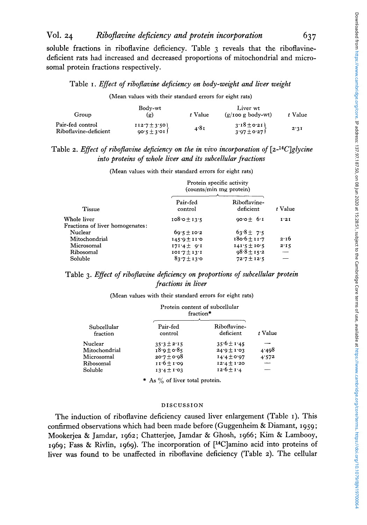# **VOl. 24** *RiboJEavine deficiency and protein incorporation* **637**

soluble fractions in riboflavine deficiency. Table **3** reveals that the riboflavinedeficient rats had increased and decreased proportions of mitochondria1 and microsoma1 protein fractions respectively.

### Table **I.** *Effect of riboflavine deficiency on body-weight and liver weight*

#### (Mean values with their standard errors for eight rats)

| Group                                     | Body-wt<br>(g)                      | t Value | Liver wt<br>$(g/100 g)$ body-wt    | t Value |
|-------------------------------------------|-------------------------------------|---------|------------------------------------|---------|
| Pair-fed control<br>Riboflavine-deficient | $112.7 \pm 3.50$<br>$90.5 \pm 3.01$ | 4.81    | $3.18 \pm 0.21$<br>$3.97 \pm 0.27$ | 2.31    |

## Table 2. *Effect of riboflavine deficiency on the in vivo incorporation of* [2-<sup>14</sup>C]glycine *into proteins of whole liver and its subcellular fractions*

(Mean values with their standard errors for eight rats)

|                                                | Protein specific activity<br>(counts/min mg protein) |                           |         |
|------------------------------------------------|------------------------------------------------------|---------------------------|---------|
| <b>Tissue</b>                                  | Pair-fed<br>control                                  | Riboflavine-<br>deficient | t Value |
| Whole liver<br>Fractions of liver homogenates: | $108.0 + 13.5$                                       | $90.0 + 6.1$              | 1.21    |
| Nuclear                                        | $69.5 \pm 10.2$                                      | $63.8 + 7.5$              |         |
| Mitochondrial                                  | $145.9 \pm 11.0$                                     | $180.6 \pm 11.7$          | 2.16    |
| Microsomal                                     | $171.4 \pm 9.1$                                      | $141.5 \pm 10.5$          | 2.15    |
| Ribosomal                                      | $101.7 \pm 13.1$                                     | $98.8 \pm 15.2$           |         |
| Soluble                                        | $83.7 \pm 13.0$                                      | $72.7 + 12.5$             |         |

## Table *3. Effect of riboflavine deficiency on proportions of subcellular protein fractions in liver*

(Mean values with their standard errors for eight rats)

| Subcellular<br>fraction | Protein content of subcellular<br>fraction* |                           |         |
|-------------------------|---------------------------------------------|---------------------------|---------|
|                         | Pair-fed<br>control                         | Riboflavine-<br>deficient | t Value |
| Nuclear                 | $35.3 \pm 2.15$                             | $35.6 \pm 1.45$           |         |
| Mitochondrial           | $18.0 \pm 0.85$                             | $24.9 \pm 1.03$           | 4.498   |
| Microsomal              | $20.7 + 0.98$                               | $14.4 \pm 0.97$           | 4.572   |
| Ribosomal               | $11.6 \pm 1.09$                             | $12.4 \pm 1.20$           |         |
| Soluble                 | $13.4 \pm 1.03$                             | $12.6 \pm 1.4$            |         |

\* **As** *yo* of liver total protein.

#### **DISCUSSION**

The induction of riboflavine deficiency caused liver enlargement (Table **I).** This confirmed observations which had been made before (Guggenheim & Diamant, **1959;**  Mookerjea & Jamdar, **1962;** Chatterjee, Jamdar & Ghosh, **1966;** Kim & Lambooy, **1969;** Fass & Rivlin, **1969).** The incorporation of [14C]amino acid into proteins of liver was found to be unaffected in riboflavine deficiency (Table **2).** The cellular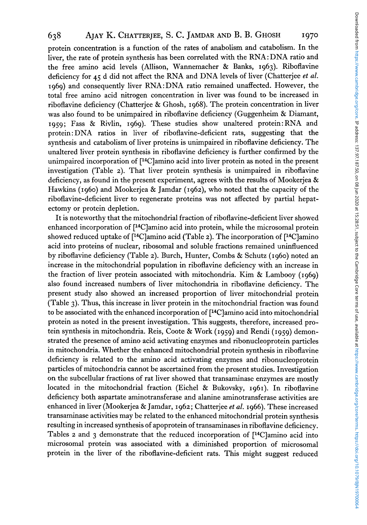# **638 AJAY K. CHATTERJEE,** *S.* C. **JAMDAR AND** B. B. **GHOSH 1970**

protein concentration is a function of the rates of anabolism and catabolism. In the liver, the rate of protein synthesis has been correlated with the RNA: DNA ratio and the free amino acid levels (Allison, Wannemacher & Banks, **1963).** Riboflavine deficiency for **45** d did not affect the RNA and DNA levels of liver (Chatterjee *et al.*  **1969)** and consequently liver RNA: DNA ratio remained unaffected. However, the total free amino acid nitrogen concentration in liver was found to be increased in riboflavine deficiency (Chatterjee & Ghosh, **1968).** The protein concentration in liver was also found to be unimpaired in riboflavine deficiency (Guggenheim & Diamant, **1959;** Fass & Rivlin, **1969).** These studies show unaltered protein:RNA and protein: DNA ratios in liver of riboflavine-deficient rats, suggesting that the synthesis and catabolism of liver proteins is unimpaired in riboflavine deficiency. The unaltered liver protein synthesis in riboflavine deficiency is further confirmed by the unimpaired incorporation of  $[$ <sup>14</sup>C]amino acid into liver protein as noted in the present investigation (Table **2).** That liver protein synthesis is unimpaired in riboflavine deficiency, as found in the present experiment, agrees with the results of Mookerjea  $\&$ Hawkins **(1960)** and Mookerjea & Jamdar **(1962),** who noted that the capacity of the riboflavine-deficient liver to regenerate proteins was not affected by partial hepatectomy or protein depletion.

It is noteworthy that the mitochondrial fraction of riboflavine-deficient liver showed enhanced incorporation of [14C]amino acid into protein, while the microsomal protein showed reduced uptake of [14C]amino acid (Table **2).** The incorporation of [14C]amino acid into proteins of nuclear, ribosomal and soluble fractions remained uninfluenced by riboflavine deficiency (Table **2).** Burch, Hunter, Combs & Schutz **(1960)** noted an increase in the mitochondrial population in riboflavine deficiency with an increase in the fraction of liver protein associated with mitochondria. Kim & Lambooy **(1969)**  also found increased numbers of liver mitochondria in riboflavine deficiency. The present study also showed an increased proportion of liver mitochondrial protein (Table **3).** Thus, this increase in liver protein in the mitochondrial fraction was found to be associated with the enhanced incorporation of [<sup>14</sup>C]amino acid into mitochondrial protein as noted in the present investigation. This suggests, therefore, increased protein synthesis in mitochondria. Reis, Coote & Work **(1959)** and Rendi **(1959)** demonstrated the presence of amino acid activating enzymes and ribonucleoprotein particles in mitochondria. Whether the enhanced mitochondrial protein synthesis in riboflavine deficiency is related to the amino acid activating enzymes and ribonucleoprotein particles of mitochondria cannot be ascertained from the present studies. Investigation on the subcellular fractions of rat liver showed that transaminase enzymes are mostly located in the mitochondrial fraction (Eichel & Bukovsky, **1961).** In riboflavine deficiency both aspartate aminotransferase and alanine aminotransferase activities are enhanced in liver (Mookerjea & Jamdar, **1962;** Chatterjee *et al.* **1966).** These increased transaminase activities may be related to the enhanced mitochondrial protein synthesis resulting in increased synthesis of apoprotein of transaminases in riboflavine deficiency. Tables **2** and **3** demonstrate that the reduced incorporation of [14C]amino acid into microsomal protein was associated with a diminished proportion of microsomal protein in the liver of the riboflavine-deficient rats. This might suggest reduced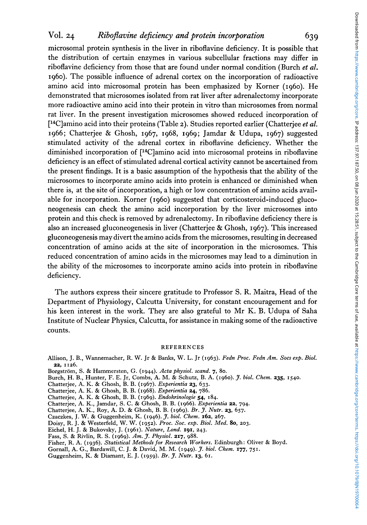# **VOl. 24** *Ribojlavine dejiciency and protein incorporation* **639**

microsomal protein synthesis in the liver in riboflavine deficiency. It is possible that the distribution of certain enzymes in various subcellular fractions may differ in riboflavine deficiency from those that are found under normal condition (Burch *et al.*  1960). The possible influence of adrenal cortex on the incorporation of radioactive amino acid into microsomal protein has been emphasized by Korner (1960). He demonstrated that microsomes isolated from rat liver after adrenalectomy incorporate more radioactive amino acid into their protein in vitro than microsomes from normal rat liver. In the present investigation microsomes showed reduced incorporation of [14C]amino acid into their proteins (Table *2).* Studies reported earlier (Chatterjee *et al.*  1966; Chatterjee & Ghosh, 1967, 1968, 1969; Jamdar & Udupa, 1967) suggested stimulated activity of the adrenal cortex in riboflavine deficiency. Whether the diminished incorporation of [14C]amino acid into microsomal proteins in riboflavine deficiency is an effect of stimulated adrenal cortical activity cannot be ascertained from the present findings. It is a basic assumption of the hypothesis that the ability of the microsomes to incorporate amino acids into protein is enhanced or diminished when there is, at the site of incorporation, a high or low concentration of amino acids available for incorporation. Korner (1960) suggested that corticosteroid-induced gluconeogenesis can check the amino acid incorporation by the liver microsomes into protein and this check is removed by adrenalectomy. In riboflavine deficiency there is also an increased gluconeogenesis in liver (Chatterjee & Ghosh, 1967). This increased gluconeogenesis may divert the amino acids from the microsomes, resulting in decreased concentration of amino acids at the site of incorporation in the microsomes. This reduced concentration of amino acids in the microsomes may lead to a diminution in the ability of the microsomes to incorporate amino acids into protein in riboflavine deficiency.

The authors express their sincere gratitude to Professor S. **R.** Maitra, Head of the Department of Physiology, Calcutta University, for constant encouragement and for his keen interest in the work. They are also grateful to Mr K. **B.** Udupa of Saha Institute of Nuclear Physics, Calcutta, for assistance in making some of the radioactive counts.

#### REFERENCES

- Allison, J. B., Wannemacher, R. W. Jr & Banks, W. L. Jr (1963). *Fedn Proc. Fedn Am. SOCS exp. Biol.*  **22,** 1126.
- Borgström, S. & Hammersten, G. (1944). Acta physiol. scand. 7, 80.
- Burch, H. B., Hunter, F. E. Jr, Combs, **A.** M. & Schutz, B. A. (1960). *J. biol. Chem.* **235,** 1540.
- Chatterjee, A. K. & Ghosh, B. B. (1967). *Experientia 23,* 633.
- Chatterjee, A. K. & Ghosh, B. B. (1968). *Experientia* **24,** 786.
- Chatterjee, A. K. & Ghosh, B. B. (1969). *Endokrinologie* **54,** 184.
- Chatterjee, A. K., Jamdar, S. C. & Ghosh, B. B. (1966). *Experientia* **22,** 794.
- Chatterjee, A. K., Roy, A. D. & Ghosh, B. B. (1969). *Br. J. Nutr. 23,* 657.
- Czaczkes, J. W. & Guggenheim, K. (1946). *J. biol. Chem.* **162,** 267.
- Doisy, R. J. & Westerfeld, W. W. (1952). *Proc. SOC. exp. Biol. Med. 80,* 203.
- Eichel, H. J. & Bukovsky, J. (1961). *Nature, Lond.* **191,** 243.
- Fass, S. & Rivlin, R. S. (1969). *Am. J. Physiol.* **217,** 988.
- Fisher, R. A. (1936). *Statistical Methods for Research Workers.* Edinburgh: Oliver & Boyd.
- Gornall, A. **G.,** Bardawill, C. J. & David, M. M. (1949). *J. biol. Chem.* **177,** 751.
- Guggenheim, K. & Diamant, E. J. (1959). *Br. J. Nutr.* **13,** 61.